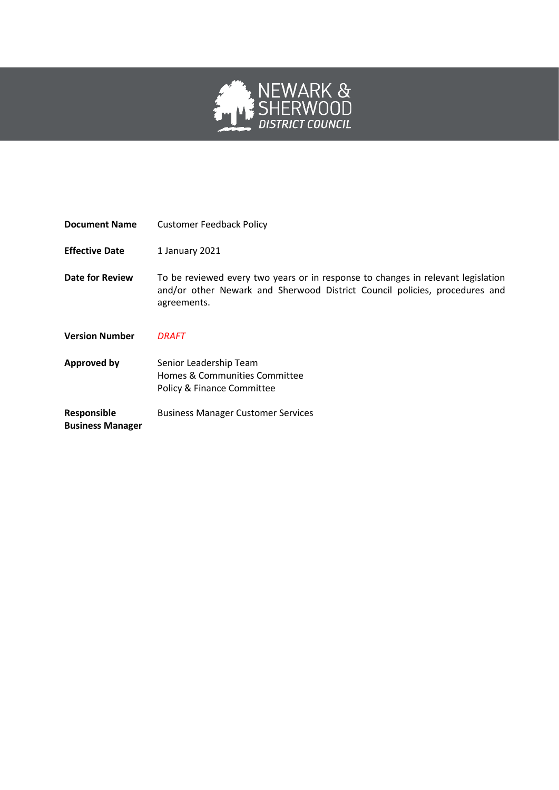

| <b>Document Name</b>                          | <b>Customer Feedback Policy</b>                                                                                                                                               |
|-----------------------------------------------|-------------------------------------------------------------------------------------------------------------------------------------------------------------------------------|
| <b>Effective Date</b>                         | 1 January 2021                                                                                                                                                                |
| Date for Review                               | To be reviewed every two years or in response to changes in relevant legislation<br>and/or other Newark and Sherwood District Council policies, procedures and<br>agreements. |
| <b>Version Number</b>                         | <b>DRAFT</b>                                                                                                                                                                  |
| <b>Approved by</b>                            | Senior Leadership Team<br>Homes & Communities Committee<br>Policy & Finance Committee                                                                                         |
| <b>Responsible</b><br><b>Business Manager</b> | <b>Business Manager Customer Services</b>                                                                                                                                     |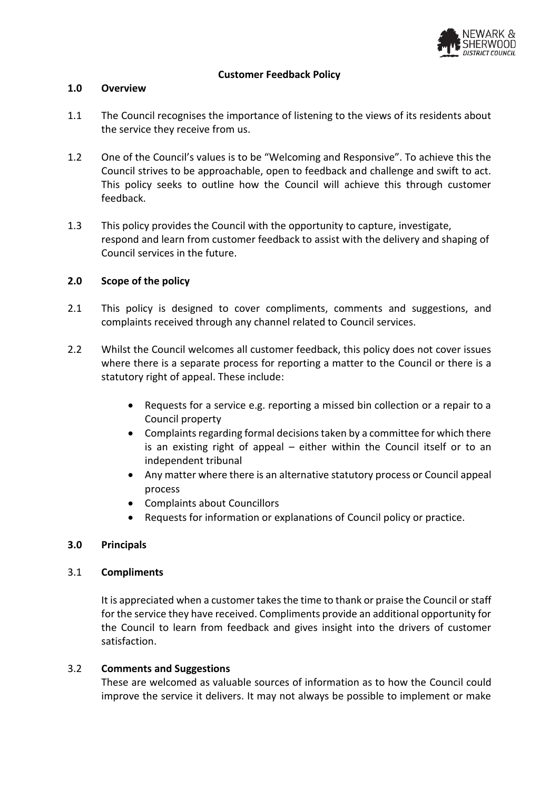

## **Customer Feedback Policy**

#### **1.0 Overview**

- 1.1 The Council recognises the importance of listening to the views of its residents about the service they receive from us.
- 1.2 One of the Council's values is to be "Welcoming and Responsive". To achieve this the Council strives to be approachable, open to feedback and challenge and swift to act. This policy seeks to outline how the Council will achieve this through customer feedback.
- 1.3 This policy provides the Council with the opportunity to capture, investigate, respond and learn from customer feedback to assist with the delivery and shaping of Council services in the future.

## **2.0 Scope of the policy**

- 2.1 This policy is designed to cover compliments, comments and suggestions, and complaints received through any channel related to Council services.
- 2.2 Whilst the Council welcomes all customer feedback, this policy does not cover issues where there is a separate process for reporting a matter to the Council or there is a statutory right of appeal. These include:
	- Requests for a service e.g. reporting a missed bin collection or a repair to a Council property
	- Complaints regarding formal decisions taken by a committee for which there is an existing right of appeal – either within the Council itself or to an independent tribunal
	- Any matter where there is an alternative statutory process or Council appeal process
	- Complaints about Councillors
	- Requests for information or explanations of Council policy or practice.

## **3.0 Principals**

#### 3.1 **Compliments**

It is appreciated when a customer takes the time to thank or praise the Council or staff for the service they have received. Compliments provide an additional opportunity for the Council to learn from feedback and gives insight into the drivers of customer satisfaction.

## 3.2 **Comments and Suggestions**

These are welcomed as valuable sources of information as to how the Council could improve the service it delivers. It may not always be possible to implement or make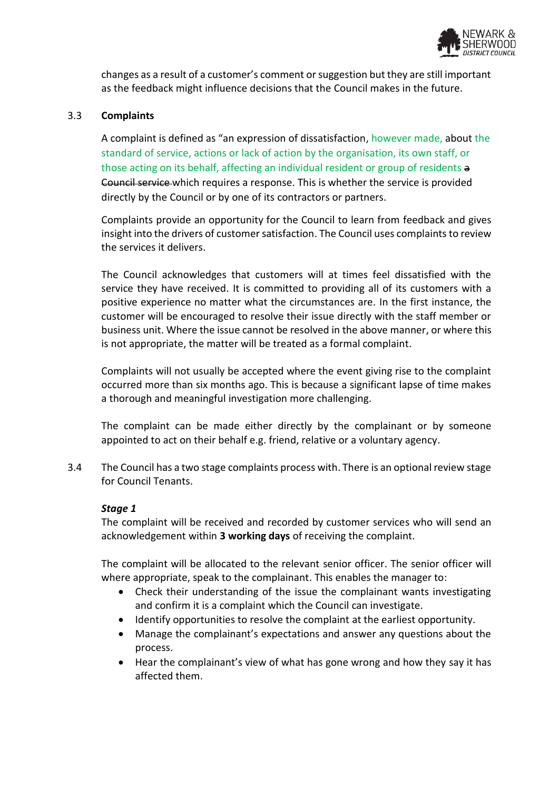

changes as a result of a customer's comment or suggestion but they are still important as the feedback might influence decisions that the Council makes in the future.

## 3.3 **Complaints**

A complaint is defined as "an expression of dissatisfaction, however made, about the standard of service, actions or lack of action by the organisation, its own staff, or those acting on its behalf, affecting an individual resident or group of residents a Council service which requires a response. This is whether the service is provided directly by the Council or by one of its contractors or partners.

Complaints provide an opportunity for the Council to learn from feedback and gives insight into the drivers of customer satisfaction. The Council uses complaints to review the services it delivers.

The Council acknowledges that customers will at times feel dissatisfied with the service they have received. It is committed to providing all of its customers with a positive experience no matter what the circumstances are. In the first instance, the customer will be encouraged to resolve their issue directly with the staff member or business unit. Where the issue cannot be resolved in the above manner, or where this is not appropriate, the matter will be treated as a formal complaint.

Complaints will not usually be accepted where the event giving rise to the complaint occurred more than six months ago. This is because a significant lapse of time makes a thorough and meaningful investigation more challenging.

The complaint can be made either directly by the complainant or by someone appointed to act on their behalf e.g. friend, relative or a voluntary agency.

3.4 The Council has a two stage complaints process with. There is an optional review stage for Council Tenants.

## *Stage 1*

The complaint will be received and recorded by customer services who will send an acknowledgement within **3 working days** of receiving the complaint.

The complaint will be allocated to the relevant senior officer. The senior officer will where appropriate, speak to the complainant. This enables the manager to:

- Check their understanding of the issue the complainant wants investigating and confirm it is a complaint which the Council can investigate.
- Identify opportunities to resolve the complaint at the earliest opportunity.
- Manage the complainant's expectations and answer any questions about the process.
- Hear the complainant's view of what has gone wrong and how they say it has affected them.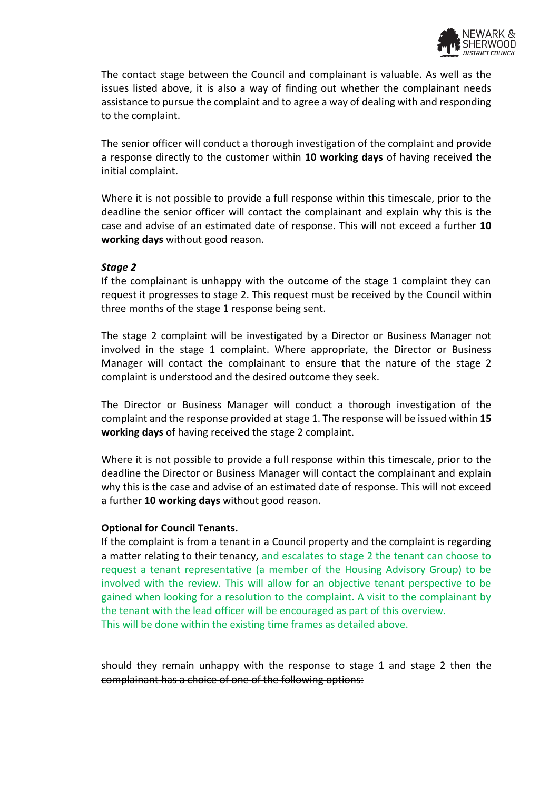

The contact stage between the Council and complainant is valuable. As well as the issues listed above, it is also a way of finding out whether the complainant needs assistance to pursue the complaint and to agree a way of dealing with and responding to the complaint.

The senior officer will conduct a thorough investigation of the complaint and provide a response directly to the customer within **10 working days** of having received the initial complaint.

Where it is not possible to provide a full response within this timescale, prior to the deadline the senior officer will contact the complainant and explain why this is the case and advise of an estimated date of response. This will not exceed a further **10 working days** without good reason.

#### *Stage 2*

If the complainant is unhappy with the outcome of the stage 1 complaint they can request it progresses to stage 2. This request must be received by the Council within three months of the stage 1 response being sent.

The stage 2 complaint will be investigated by a Director or Business Manager not involved in the stage 1 complaint. Where appropriate, the Director or Business Manager will contact the complainant to ensure that the nature of the stage 2 complaint is understood and the desired outcome they seek.

The Director or Business Manager will conduct a thorough investigation of the complaint and the response provided at stage 1. The response will be issued within **15 working days** of having received the stage 2 complaint.

Where it is not possible to provide a full response within this timescale, prior to the deadline the Director or Business Manager will contact the complainant and explain why this is the case and advise of an estimated date of response. This will not exceed a further **10 working days** without good reason.

#### **Optional for Council Tenants.**

If the complaint is from a tenant in a Council property and the complaint is regarding a matter relating to their tenancy, and escalates to stage 2 the tenant can choose to request a tenant representative (a member of the Housing Advisory Group) to be involved with the review. This will allow for an objective tenant perspective to be gained when looking for a resolution to the complaint. A visit to the complainant by the tenant with the lead officer will be encouraged as part of this overview. This will be done within the existing time frames as detailed above.

should they remain unhappy with the response to stage 1 and stage 2 then the complainant has a choice of one of the following options: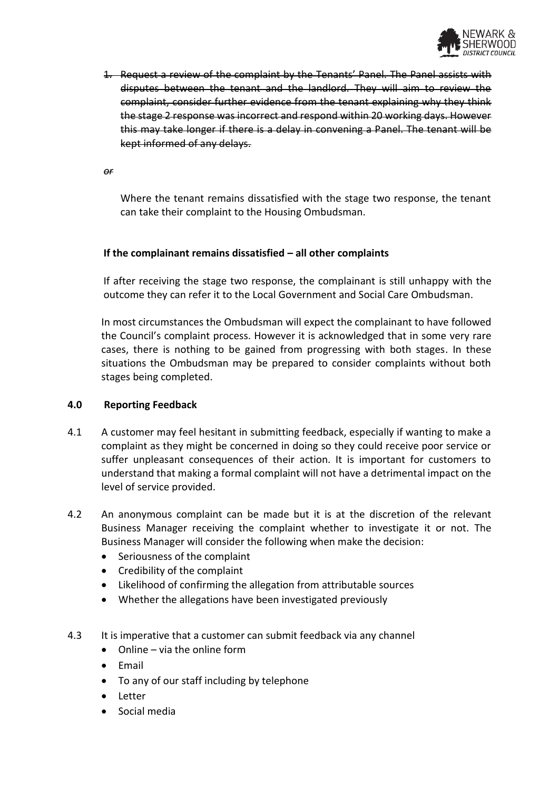

1. Request a review of the complaint by the Tenants' Panel. The Panel assists with disputes between the tenant and the landlord. They will aim to review the complaint, consider further evidence from the tenant explaining why they think the stage 2 response was incorrect and respond within 20 working days. However this may take longer if there is a delay in convening a Panel. The tenant will be kept informed of any delays.

*or*

Where the tenant remains dissatisfied with the stage two response, the tenant can take their complaint to the Housing Ombudsman.

## **If the complainant remains dissatisfied – all other complaints**

If after receiving the stage two response, the complainant is still unhappy with the outcome they can refer it to the Local Government and Social Care Ombudsman.

In most circumstances the Ombudsman will expect the complainant to have followed the Council's complaint process. However it is acknowledged that in some very rare cases, there is nothing to be gained from progressing with both stages. In these situations the Ombudsman may be prepared to consider complaints without both stages being completed.

## **4.0 Reporting Feedback**

- 4.1 A customer may feel hesitant in submitting feedback, especially if wanting to make a complaint as they might be concerned in doing so they could receive poor service or suffer unpleasant consequences of their action. It is important for customers to understand that making a formal complaint will not have a detrimental impact on the level of service provided.
- 4.2 An anonymous complaint can be made but it is at the discretion of the relevant Business Manager receiving the complaint whether to investigate it or not. The Business Manager will consider the following when make the decision:
	- Seriousness of the complaint
	- Credibility of the complaint
	- Likelihood of confirming the allegation from attributable sources
	- Whether the allegations have been investigated previously
- 4.3 It is imperative that a customer can submit feedback via any channel
	- $\bullet$  Online via the online form
	- $\bullet$  Fmail
	- To any of our staff including by telephone
	- Letter
	- Social media